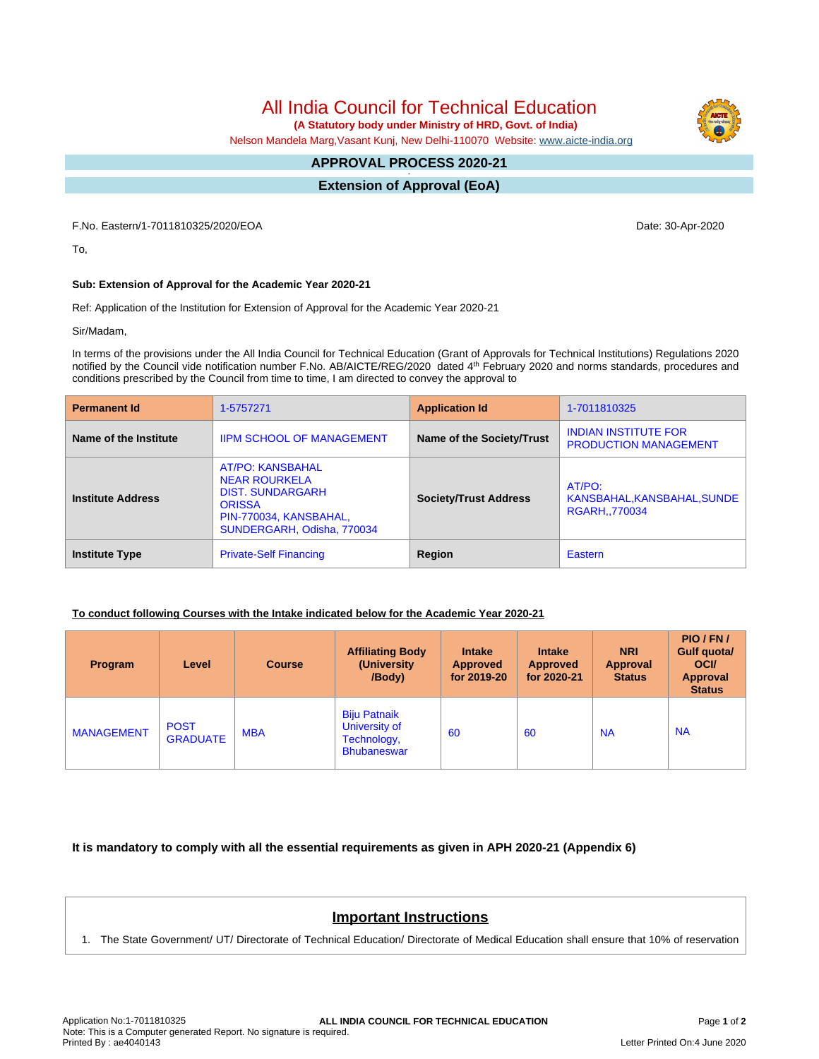All India Council for Technical Education

 **(A Statutory body under Ministry of HRD, Govt. of India)**

Nelson Mandela Marg,Vasant Kunj, New Delhi-110070 Website: www.aicte-india.org

#### **APPROVAL PROCESS 2020-21 -**

**Extension of Approval (EoA)**

F.No. Eastern/1-7011810325/2020/EOA Date: 30-Apr-2020

To,

# **Sub: Extension of Approval for the Academic Year 2020-21**

Ref: Application of the Institution for Extension of Approval for the Academic Year 2020-21

Sir/Madam,

In terms of the provisions under the All India Council for Technical Education (Grant of Approvals for Technical Institutions) Regulations 2020 notified by the Council vide notification number F.No. AB/AICTE/REG/2020 dated 4<sup>th</sup> February 2020 and norms standards, procedures and conditions prescribed by the Council from time to time, I am directed to convey the approval to

| <b>Permanent Id</b>      | 1-5757271                                                                                                                                           | <b>Application Id</b>        | 1-7011810325                                                |  |
|--------------------------|-----------------------------------------------------------------------------------------------------------------------------------------------------|------------------------------|-------------------------------------------------------------|--|
| Name of the Institute    | <b>IIPM SCHOOL OF MANAGEMENT</b>                                                                                                                    | Name of the Society/Trust    | <b>INDIAN INSTITUTE FOR</b><br><b>PRODUCTION MANAGEMENT</b> |  |
| <b>Institute Address</b> | <b>AT/PO: KANSBAHAL</b><br><b>NEAR ROURKELA</b><br><b>DIST. SUNDARGARH</b><br><b>ORISSA</b><br>PIN-770034, KANSBAHAL,<br>SUNDERGARH, Odisha, 770034 | <b>Society/Trust Address</b> | AT/PO:<br>KANSBAHAL, KANSBAHAL, SUNDE<br><b>RGARH770034</b> |  |
| <b>Institute Type</b>    | <b>Private-Self Financing</b>                                                                                                                       | Region                       | Eastern                                                     |  |

### **To conduct following Courses with the Intake indicated below for the Academic Year 2020-21**

| Program           | Level                          | <b>Course</b> | <b>Affiliating Body</b><br>(University<br>/Body)                          | <b>Intake</b><br><b>Approved</b><br>for 2019-20 | <b>Intake</b><br><b>Approved</b><br>for 2020-21 | <b>NRI</b><br>Approval<br><b>Status</b> | PIO/FN/<br>Gulf quota/<br><b>OCI</b><br><b>Approval</b><br><b>Status</b> |
|-------------------|--------------------------------|---------------|---------------------------------------------------------------------------|-------------------------------------------------|-------------------------------------------------|-----------------------------------------|--------------------------------------------------------------------------|
| <b>MANAGEMENT</b> | <b>POST</b><br><b>GRADUATE</b> | <b>MBA</b>    | <b>Biju Patnaik</b><br>University of<br>Technology,<br><b>Bhubaneswar</b> | 60                                              | 60                                              | <b>NA</b>                               | <b>NA</b>                                                                |

**It is mandatory to comply with all the essential requirements as given in APH 2020-21 (Appendix 6)**

# **Important Instructions**

1. The State Government/ UT/ Directorate of Technical Education/ Directorate of Medical Education shall ensure that 10% of reservation